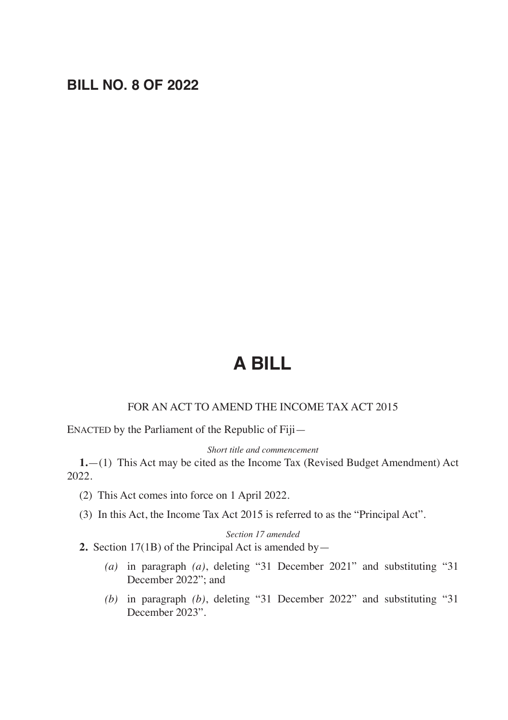# **BILL NO. 8 OF 2022**

# **A BILL**

#### FOR AN ACT TO AMEND THE INCOME TAX ACT 2015

ENACTED by the Parliament of the Republic of Fiji—

*Short title and commencement*

**1.**—(1) This Act may be cited as the Income Tax (Revised Budget Amendment) Act 2022.

- (2) This Act comes into force on 1 April 2022.
- (3) In this Act, the Income Tax Act 2015 is referred to as the "Principal Act".

*Section 17 amended*

**2.** Section 17(1B) of the Principal Act is amended by—

- *(a)* in paragraph *(a)*, deleting "31 December 2021" and substituting "31 December 2022"; and
- *(b)* in paragraph *(b)*, deleting "31 December 2022" and substituting "31 December 2023".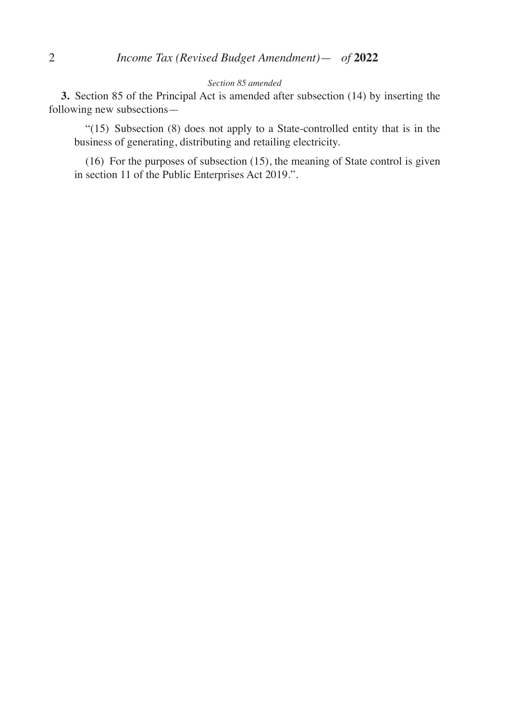#### *Section 85 amended*

**3.** Section 85 of the Principal Act is amended after subsection (14) by inserting the following new subsections—

"(15) Subsection  $(8)$  does not apply to a State-controlled entity that is in the business of generating, distributing and retailing electricity.

(16) For the purposes of subsection (15), the meaning of State control is given in section 11 of the Public Enterprises Act 2019.".